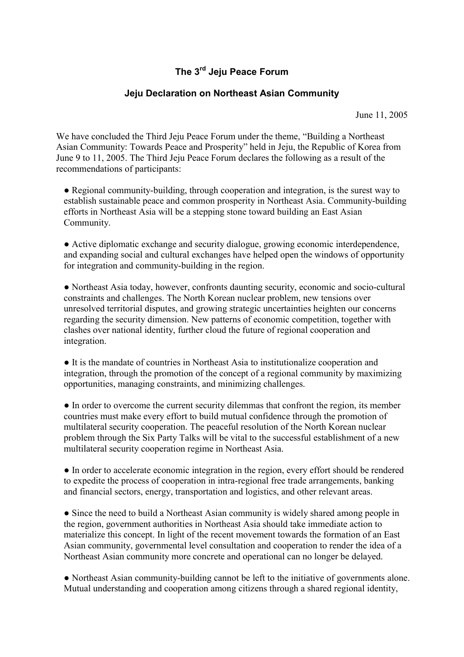## The 3<sup>rd</sup> Jeju Peace Forum

## Jeju Declaration on Northeast Asian Community

June 11, 2005

We have concluded the Third Jeju Peace Forum under the theme, "Building a Northeast Asian Community: Towards Peace and Prosperity" held in Jeju, the Republic of Korea from June 9 to 11, 2005. The Third Jeju Peace Forum declares the following as a result of the recommendations of participants:

• Regional community-building, through cooperation and integration, is the surest way to establish sustainable peace and common prosperity in Northeast Asia. Community-building efforts in Northeast Asia will be a stepping stone toward building an East Asian Community.

● Active diplomatic exchange and security dialogue, growing economic interdependence, and expanding social and cultural exchanges have helped open the windows of opportunity for integration and community-building in the region.

● Northeast Asia today, however, confronts daunting security, economic and socio-cultural constraints and challenges. The North Korean nuclear problem, new tensions over unresolved territorial disputes, and growing strategic uncertainties heighten our concerns regarding the security dimension. New patterns of economic competition, together with clashes over national identity, further cloud the future of regional cooperation and integration.

● It is the mandate of countries in Northeast Asia to institutionalize cooperation and integration, through the promotion of the concept of a regional community by maximizing opportunities, managing constraints, and minimizing challenges.

● In order to overcome the current security dilemmas that confront the region, its member countries must make every effort to build mutual confidence through the promotion of multilateral security cooperation. The peaceful resolution of the North Korean nuclear problem through the Six Party Talks will be vital to the successful establishment of a new multilateral security cooperation regime in Northeast Asia.

● In order to accelerate economic integration in the region, every effort should be rendered to expedite the process of cooperation in intra-regional free trade arrangements, banking and financial sectors, energy, transportation and logistics, and other relevant areas.

• Since the need to build a Northeast Asian community is widely shared among people in the region, government authorities in Northeast Asia should take immediate action to materialize this concept. In light of the recent movement towards the formation of an East Asian community, governmental level consultation and cooperation to render the idea of a Northeast Asian community more concrete and operational can no longer be delayed.

● Northeast Asian community-building cannot be left to the initiative of governments alone. Mutual understanding and cooperation among citizens through a shared regional identity,